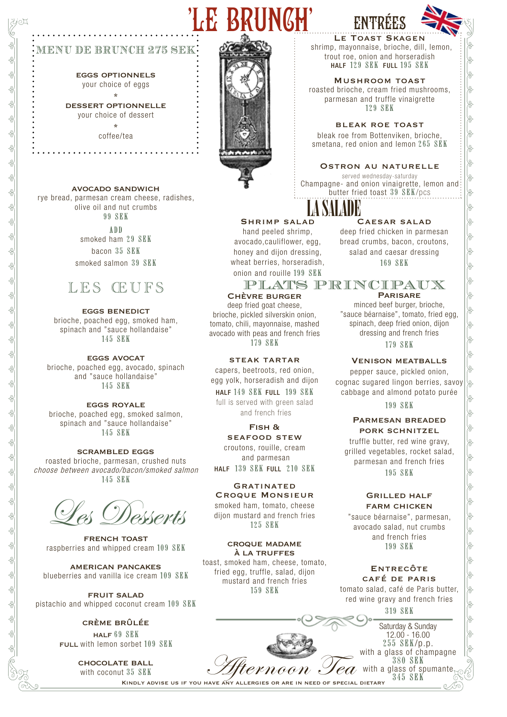# LE BRUNCH'



eggs optionnels your choice of eggs

DESSERT OPTIONNELLE your choice of dessert \*

> coffee/tea . . . . . . . . . .

avocado sandwich rye bread, parmesan cream cheese, radishes,

olive oil and nut crumbs 99 SEK

ADD smoked ham 29 SEK bacon 35 SEK smoked salmon 39 SEK



eggs benedict brioche, poached egg, smoked ham, spinach and "sauce hollandaise" 145 SEK

**EGGS AVOCAT** brioche, poached egg, avocado, spinach and "sauce hollandaise" 145 SEK

eggs royale brioche, poached egg, smoked salmon, spinach and "sauce hollandaise" 145 SEK

scrambled eggs roasted brioche, parmesan, crushed nuts choose between avocado/bacon/smoked salmon 145 SEK

Desserts

french toast raspberries and whipped cream 109 SEK

american pancakes blueberries and vanilla ice cream 109 SEK

fruit salad pistachio and whipped coconut cream 109 SEK

#### crème brûlée

half 69 SEK FULL with lemon sorbet 109 SEK

> chocolate ball with coconut 35 SEK



## LE TOAST SKAGEN

shrimp, mayonnaise, brioche, dill, lemon, trout roe, onion and horseradish HALF 129 SEK FULL 195 SEK

Mushroom toast roasted brioche, cream fried mushrooms, parmesan and truffle vinaigrette 129 SEK

bleak roe toast bleak roe from Bottenviken, brioche, smetana, red onion and lemon 265 SEK

#### Ostron au naturelle

served wednesday-saturday Champagne- and onion vinaigrette, lemon and butter fried toast 39 SEK/pcs

LA SALADE SHRIMP SALAD Caesar salad

hand peeled shrimp, avocado,cauliflower, egg, honey and dijon dressing, wheat berries, horseradish, onion and rouille 199 SEK

### PLATS PRINCIPAUX

Chèvre burger deep fried goat cheese. brioche, pickled silverskin onion, tomato, chili, mayonnaise, mashed avocado with peas and french fries 179 SEK

steak tartar capers, beetroots, red onion, egg yolk, horseradish and dijon

HALF 149 SEK FULL 199 SEK full is served with green salad and french fries

Fish & seafood stew croutons, rouille, cream and parmesan HALF 139 SEK FULL 210 SEK

**GRATINATED** Croque Monsieur smoked ham, tomato, cheese dijon mustard and french fries

125 SEK

croque madame à la truffes toast, smoked ham, cheese, tomato, fried egg, truffle, salad, dijon mustard and french fries 159 SEK

**PARISARE** minced beef burger, brioche, "sauce béarnaise", tomato, fried egg, spinach, deep fried onion, dijon dressing and french fries

deep fried chicken in parmesan bread crumbs, bacon, croutons, salad and caesar dressing 169 SEK

179 SEK

#### Venison meatballs

pepper sauce, pickled onion, cognac sugared lingon berries, savoy cabbage and almond potato purée

#### Parmesan breaded pork schnitzel

truffle butter, red wine gravy, grilled vegetables, rocket salad, parmesan and french fries 195 SEK

#### Grilled half farm chicken

"sauce béarnaise", parmesan, avocado salad, nut crumbs and french fries 199 SEK

**ENTRECÔTE** café de paris tomato salad, café de Paris butter, red wine gravy and french fries



199 SEK